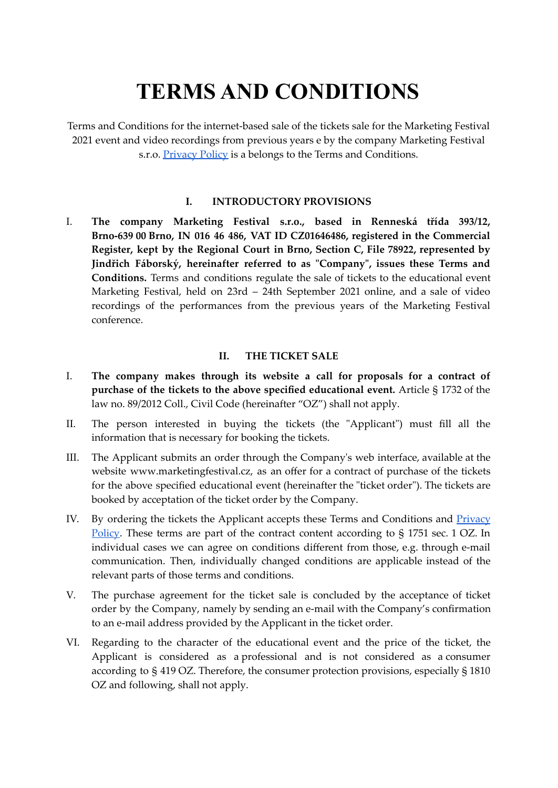# **TERMS AND CONDITIONS**

Terms and Conditions for the internet-based sale of the tickets sale for the Marketing Festival 2021 event and video recordings from previous years e by the company Marketing Festival s.r.o. **[Privacy](https://www.marketingfestival.cz/assets/front/files/privacy_policy_MF_eng.pdf) Policy** is a belongs to the Terms and Conditions.

## **I. INTRODUCTORY PROVISIONS**

I. **The company Marketing Festival s.r.o., based in Renneská třída 393/12, Brno-639 00 Brno, IN 016 46 486, VAT ID CZ01646486, registered in the Commercial Register, kept by the Regional Court in Brno, Section C, File 78922, represented by Jindřich Fáborský, hereinafter referred to as "Company", issues these Terms and Conditions.** Terms and conditions regulate the sale of tickets to the educational event Marketing Festival, held on 23rd – 24th September 2021 online, and a sale of video recordings of the performances from the previous years of the Marketing Festival conference.

### **II. THE TICKET SALE**

- I. **The company makes through its website a call for proposals for a contract of purchase of the tickets to the above specified educational event.** Article § 1732 of the law no. 89/2012 Coll., Civil Code (hereinafter "OZ") shall not apply.
- II. The person interested in buying the tickets (the "Applicant") must fill all the information that is necessary for booking the tickets.
- III. The Applicant submits an order through the Company's web interface, available at the website www.marketingfestival.cz, as an offer for a contract of purchase of the tickets for the above specified educational event (hereinafter the "ticket order"). The tickets are booked by acceptation of the ticket order by the Company.
- IV. By ordering the tickets the Applicant accepts these Terms and Conditions and [Privacy](https://www.marketingfestival.cz/assets/front/files/privacy_policy_MF_eng.pdf) [Policy.](https://www.marketingfestival.cz/assets/front/files/privacy_policy_MF_eng.pdf) These terms are part of the contract content according to § 1751 sec. 1 OZ. In individual cases we can agree on conditions different from those, e.g. through e-mail communication. Then, individually changed conditions are applicable instead of the relevant parts of those terms and conditions.
- V. The purchase agreement for the ticket sale is concluded by the acceptance of ticket order by the Company, namely by sending an e-mail with the Company's confirmation to an e-mail address provided by the Applicant in the ticket order.
- VI. Regarding to the character of the educational event and the price of the ticket, the Applicant is considered as a professional and is not considered as a consumer according to § 419 OZ. Therefore, the consumer protection provisions, especially § 1810 OZ and following, shall not apply.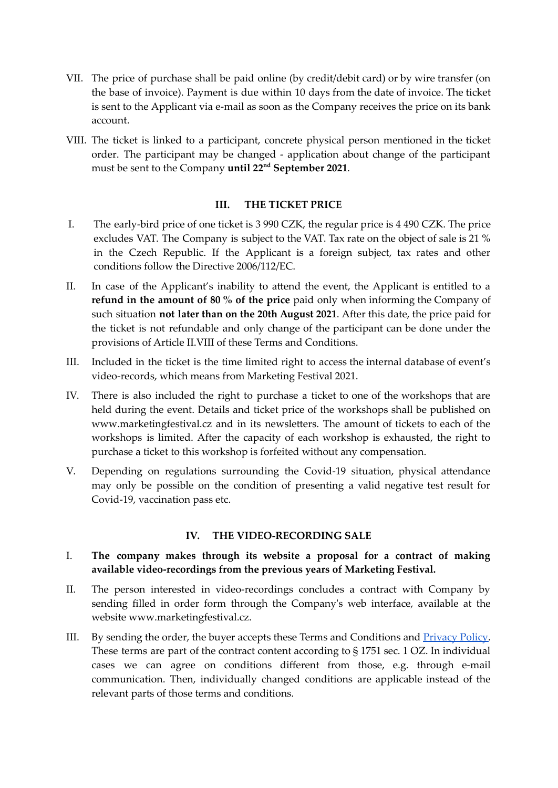- VII. The price of purchase shall be paid online (by credit/debit card) or by wire transfer (on the base of invoice). Payment is due within 10 days from the date of invoice. The ticket is sent to the Applicant via e-mail as soon as the Company receives the price on its bank account.
- VIII. The ticket is linked to a participant, concrete physical person mentioned in the ticket order. The participant may be changed - application about change of the participant must be sent to the Company **until 22 nd September 2021**.

### **III. THE TICKET PRICE**

- I. The early-bird price of one ticket is 3 990 CZK, the regular price is 4 490 CZK. The price excludes VAT. The Company is subject to the VAT. Tax rate on the object of sale is 21 % in the Czech Republic. If the Applicant is a foreign subject, tax rates and other conditions follow the Directive 2006/112/EC.
- II. In case of the Applicant's inability to attend the event, the Applicant is entitled to a **refund in the amount of 80 % of the price** paid only when informing the Company of such situation **not later than on the 20th August 2021**. After this date, the price paid for the ticket is not refundable and only change of the participant can be done under the provisions of Article II.VIII of these Terms and Conditions.
- III. Included in the ticket is the time limited right to access the internal database of event's video-records, which means from Marketing Festival 2021.
- IV. There is also included the right to purchase a ticket to one of the workshops that are held during the event. Details and ticket price of the workshops shall be published on www.marketingfestival.cz and in its newsletters. The amount of tickets to each of the workshops is limited. After the capacity of each workshop is exhausted, the right to purchase a ticket to this workshop is forfeited without any compensation.
- V. Depending on regulations surrounding the Covid-19 situation, physical attendance may only be possible on the condition of presenting a valid negative test result for Covid-19, vaccination pass etc.

## **IV. THE VIDEO-RECORDING SALE**

## I. **The company makes through its website a proposal for a contract of making available video-recordings from the previous years of Marketing Festival.**

- II. The person interested in video-recordings concludes a contract with Company by sending filled in order form through the Company's web interface, available at the website www.marketingfestival.cz.
- III. By sending the order, the buyer accepts these Terms and Conditions and [Privacy](https://www.marketingfestival.cz/assets/front/files/privacy_policy_MF_eng.pdf) Policy. These terms are part of the contract content according to § 1751 sec. 1 OZ. In individual cases we can agree on conditions different from those, e.g. through e-mail communication. Then, individually changed conditions are applicable instead of the relevant parts of those terms and conditions.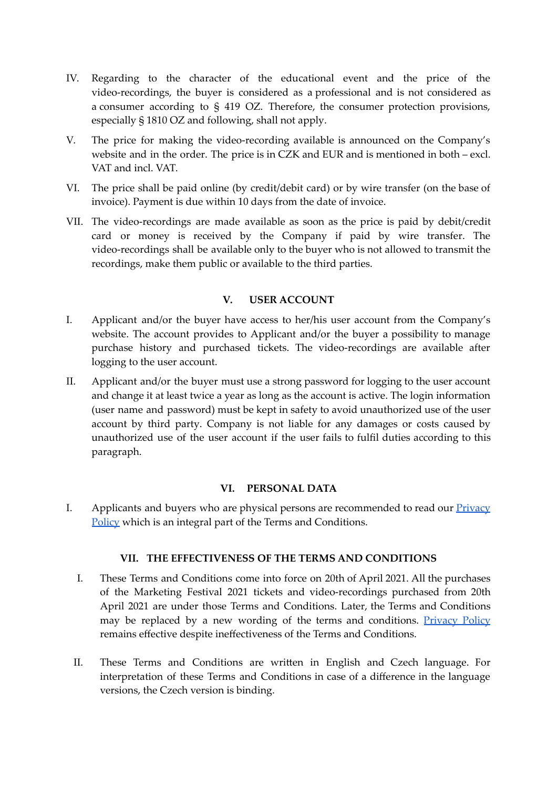- IV. Regarding to the character of the educational event and the price of the video-recordings, the buyer is considered as a professional and is not considered as a consumer according to § 419 OZ. Therefore, the consumer protection provisions, especially § 1810 OZ and following, shall not apply.
- V. The price for making the video-recording available is announced on the Company's website and in the order. The price is in CZK and EUR and is mentioned in both – excl. VAT and incl. VAT.
- VI. The price shall be paid online (by credit/debit card) or by wire transfer (on the base of invoice). Payment is due within 10 days from the date of invoice.
- VII. The video-recordings are made available as soon as the price is paid by debit/credit card or money is received by the Company if paid by wire transfer. The video-recordings shall be available only to the buyer who is not allowed to transmit the recordings, make them public or available to the third parties.

## **V. USER ACCOUNT**

- I. Applicant and/or the buyer have access to her/his user account from the Company's website. The account provides to Applicant and/or the buyer a possibility to manage purchase history and purchased tickets. The video-recordings are available after logging to the user account.
- II. Applicant and/or the buyer must use a strong password for logging to the user account and change it at least twice a year as long as the account is active. The login information (user name and password) must be kept in safety to avoid unauthorized use of the user account by third party. Company is not liable for any damages or costs caused by unauthorized use of the user account if the user fails to fulfil duties according to this paragraph.

### **VI. PERSONAL DATA**

I. Applicants and buyers who are physical persons are recommended to read our **[Privacy](https://www.marketingfestival.cz/assets/front/files/privacy_policy_MF_eng.pdf)** [Policy](https://www.marketingfestival.cz/assets/front/files/privacy_policy_MF_eng.pdf) which is an integral part of the Terms and Conditions.

### **VII. THE EFFECTIVENESS OF THE TERMS AND CONDITIONS**

- I. These Terms and Conditions come into force on 20th of April 2021. All the purchases of the Marketing Festival 2021 tickets and video-recordings purchased from 20th April 2021 are under those Terms and Conditions. Later, the Terms and Conditions may be replaced by a new wording of the terms and conditions. [Privacy](https://www.marketingfestival.cz/assets/front/files/privacy_policy_MF_eng.pdf) Policy remains effective despite ineffectiveness of the Terms and Conditions.
- II. These Terms and Conditions are written in English and Czech language. For interpretation of these Terms and Conditions in case of a difference in the language versions, the Czech version is binding.